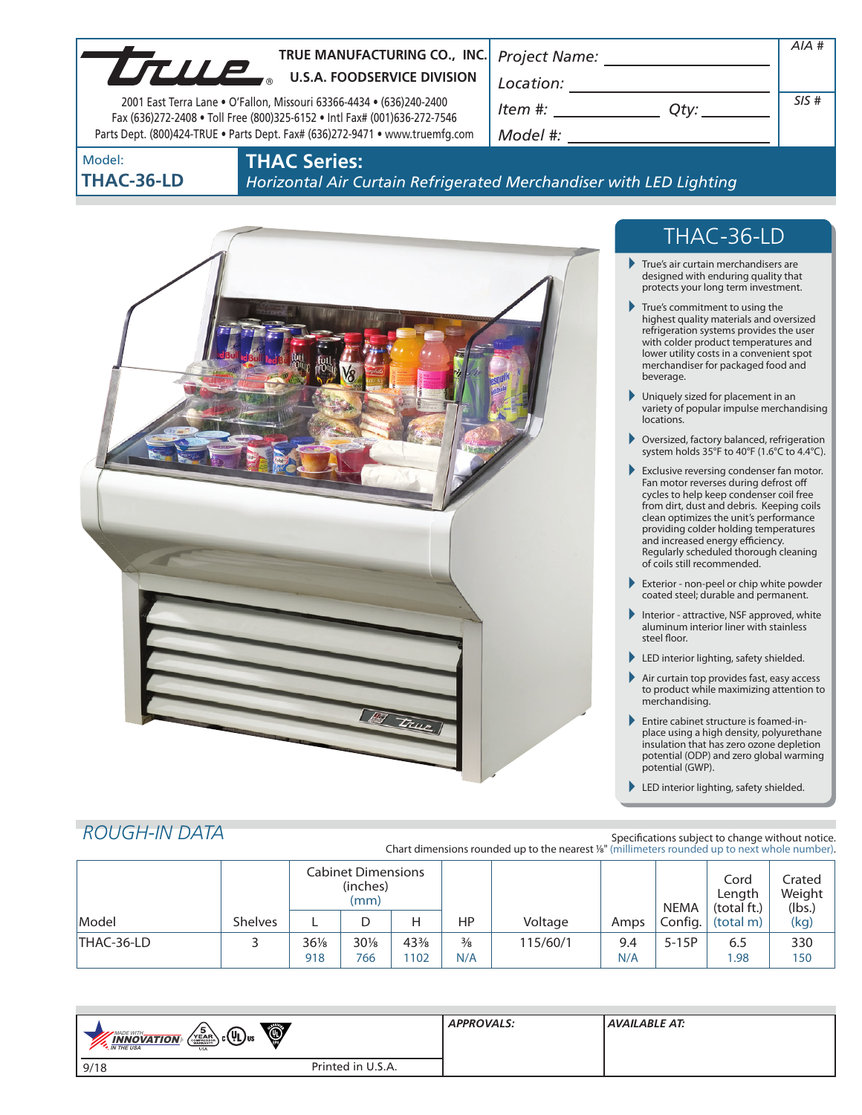| TRUE MANUFACTURING CO., INC. Project Name:<br>LTULE<br><b>U.S.A. FOODSERVICE DIVISION</b><br>2001 East Terra Lane . O'Fallon, Missouri 63366-4434 . (636)240-2400<br>Fax (636)272-2408 . Toll Free (800)325-6152 . Intl Fax# (001)636-272-7546<br>Parts Dept. (800)424-TRUE . Parts Dept. Fax# (636)272-9471 . www.truemfg.com | Location:<br>Item #:<br>Qty:<br>Model #: | AIA#<br>SIS# |
|--------------------------------------------------------------------------------------------------------------------------------------------------------------------------------------------------------------------------------------------------------------------------------------------------------------------------------|------------------------------------------|--------------|
| <b>THAC Series:</b><br>Model:                                                                                                                                                                                                                                                                                                  |                                          |              |



**THAC Series:**

*Horizontal Air Curtain Refrigerated Merchandiser with LED Lighting*



# THAC-36-LD

- True's air curtain merchandisers are designed with enduring quality that protects your long term investment.
- True's commitment to using the highest quality materials and oversized refrigeration systems provides the user with colder product temperatures and lower utility costs in a convenient spot merchandiser for packaged food and beverage.
- Uniquely sized for placement in an variety of popular impulse merchandising locations.
- Oversized, factory balanced, refrigeration system holds 35°F to 40°F (1.6°C to 4.4°C).
- Exclusive reversing condenser fan motor. Fan motor reverses during defrost off cycles to help keep condenser coil free from dirt, dust and debris. Keeping coils clean optimizes the unit's performance providing colder holding temperatures and increased energy efficiency. Regularly scheduled thorough cleaning of coils still recommended.
- Exterior non-peel or chip white powder coated steel; durable and permanent.
- Interior attractive, NSF approved, white aluminum interior liner with stainless steel floor.
- LED interior lighting, safety shielded.
- Air curtain top provides fast, easy access to product while maximizing attention to merchandising.
- Entire cabinet structure is foamed-inplace using a high density, polyurethane insulation that has zero ozone depletion potential (ODP) and zero global warming potential (GWP).
- LED interior lighting, safety shielded.

# *ROUGH-IN DATA*

Specifications subject to change without notice. Chart dimensions rounded up to the nearest %" (millimeters rounded up to next whole number).

|            |                | <b>Cabinet Dimensions</b><br>(inches)<br>(mm) |               |            |                      |          |            | <b>NEMA</b> | Cord<br>Length<br>(total ft.) | Crated<br>Weight<br>(lbs.) |
|------------|----------------|-----------------------------------------------|---------------|------------|----------------------|----------|------------|-------------|-------------------------------|----------------------------|
| Model      | <b>Shelves</b> | ட                                             | D             |            | HP                   | Voltage  | Amps       | Config.     | (total m)                     | (kg)                       |
| THAC-36-LD |                | $36\%$<br>918                                 | $30\%$<br>766 | 43%<br>102 | $\frac{3}{8}$<br>N/A | 115/60/1 | 9.4<br>N/A | $5-15P$     | 6.5<br>.98                    | 330<br>150                 |

| Ö<br>$\sqrt{\frac{5}{\text{max}}}\$ c $(\mathsf{U}_{\mathsf{L}})$ us<br><b>MADE WITH_</b><br><b>INNOVATION</b><br><b>M</b> THE USA<br><b>USA</b> |                   | <b>APPROVALS:</b> | AVAILABLE AT: |
|--------------------------------------------------------------------------------------------------------------------------------------------------|-------------------|-------------------|---------------|
| 9/18                                                                                                                                             | Printed in U.S.A. |                   |               |